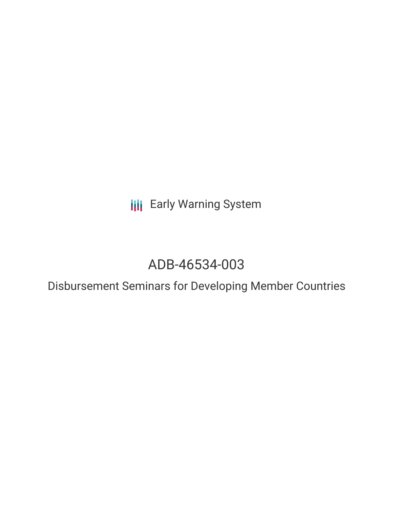**III** Early Warning System

# ADB-46534-003

Disbursement Seminars for Developing Member Countries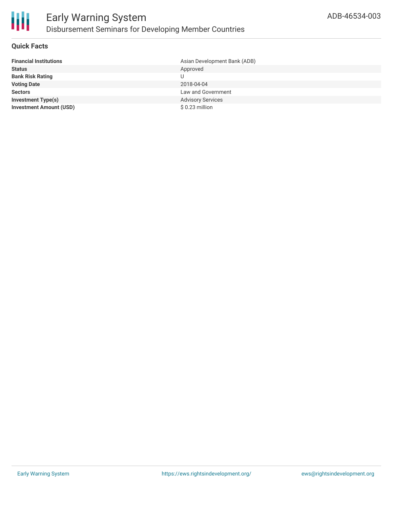

#### **Quick Facts**

| <b>Financial Institutions</b>  | Asian Development Bank (ADB) |
|--------------------------------|------------------------------|
| <b>Status</b>                  | Approved                     |
| <b>Bank Risk Rating</b>        |                              |
| <b>Voting Date</b>             | 2018-04-04                   |
| <b>Sectors</b>                 | Law and Government           |
| <b>Investment Type(s)</b>      | <b>Advisory Services</b>     |
| <b>Investment Amount (USD)</b> | \$0.23 million               |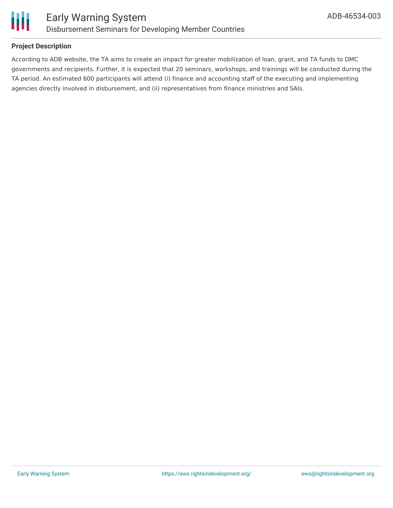

#### **Project Description**

According to ADB website, the TA aims to create an impact for greater mobilization of loan, grant, and TA funds to DMC governments and recipients. Further, it is expected that 20 seminars, workshops, and trainings will be conducted during the TA period. An estimated 600 participants will attend (i) finance and accounting staff of the executing and implementing agencies directly involved in disbursement, and (ii) representatives from finance ministries and SAIs.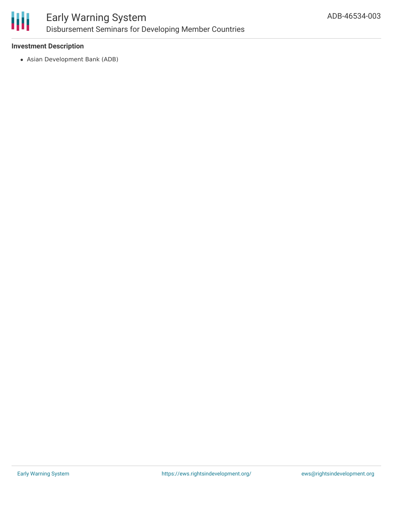

## Early Warning System Disbursement Seminars for Developing Member Countries

#### **Investment Description**

Asian Development Bank (ADB)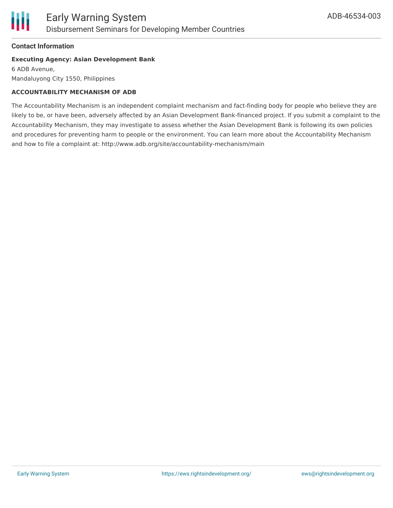

#### **Contact Information**

#### **Executing Agency: Asian Development Bank**

6 ADB Avenue, Mandaluyong City 1550, Philippines

#### **ACCOUNTABILITY MECHANISM OF ADB**

The Accountability Mechanism is an independent complaint mechanism and fact-finding body for people who believe they are likely to be, or have been, adversely affected by an Asian Development Bank-financed project. If you submit a complaint to the Accountability Mechanism, they may investigate to assess whether the Asian Development Bank is following its own policies and procedures for preventing harm to people or the environment. You can learn more about the Accountability Mechanism and how to file a complaint at: http://www.adb.org/site/accountability-mechanism/main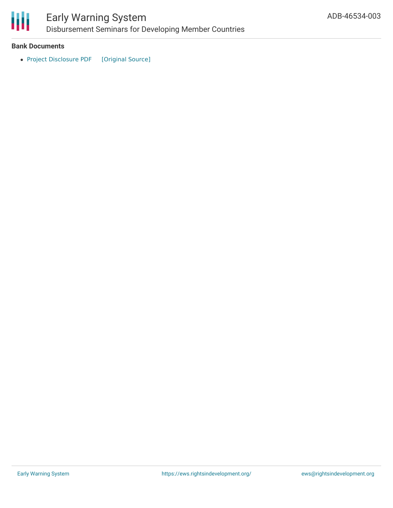

# Early Warning System

Disbursement Seminars for Developing Member Countries

#### **Bank Documents**

• Project [Disclosure](https://ewsdata.rightsindevelopment.org/files/documents/03/ADB-46534-003.pdf) PDF [\[Original](https://www.adb.org/printpdf/projects/46534-003/main) Source]